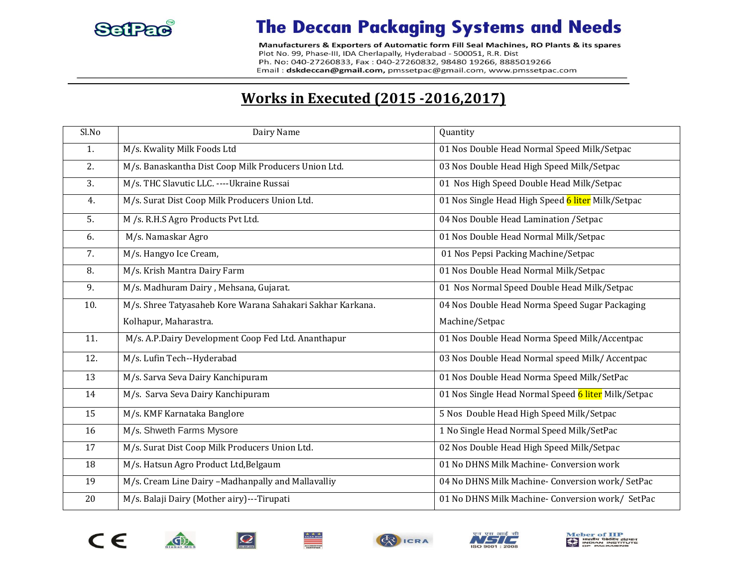

## **The Deccan Packaging Systems and Needs**

Manufacturers & Exporters of Automatic form Fill Seal Machines, RO Plants & its spares Plot No. 99, Phase-III, IDA Cherlapally, Hyderabad - 500051, R.R. Dist Ph. No: 040-27260833, Fax: 040-27260832, 98480 19266, 8885019266 Email: dskdeccan@gmail.com, pmssetpac@gmail.com, www.pmssetpac.com

## **Works in Executed (2015 -2016,2017)**

| SlNo | Dairy Name                                                 | Quantity                                            |
|------|------------------------------------------------------------|-----------------------------------------------------|
| 1.   | M/s. Kwality Milk Foods Ltd                                | 01 Nos Double Head Normal Speed Milk/Setpac         |
| 2.   | M/s. Banaskantha Dist Coop Milk Producers Union Ltd.       | 03 Nos Double Head High Speed Milk/Setpac           |
| 3.   | M/s. THC Slavutic LLC. ----Ukraine Russai                  | 01 Nos High Speed Double Head Milk/Setpac           |
| 4.   | M/s. Surat Dist Coop Milk Producers Union Ltd.             | 01 Nos Single Head High Speed 6 liter Milk/Setpac   |
| 5.   | M /s. R.H.S Agro Products Pvt Ltd.                         | 04 Nos Double Head Lamination / Setpac              |
| 6.   | M/s. Namaskar Agro                                         | 01 Nos Double Head Normal Milk/Setpac               |
| 7.   | M/s. Hangyo Ice Cream,                                     | 01 Nos Pepsi Packing Machine/Setpac                 |
| 8.   | M/s. Krish Mantra Dairy Farm                               | 01 Nos Double Head Normal Milk/Setpac               |
| 9.   | M/s. Madhuram Dairy, Mehsana, Gujarat.                     | 01 Nos Normal Speed Double Head Milk/Setpac         |
| 10.  | M/s. Shree Tatyasaheb Kore Warana Sahakari Sakhar Karkana. | 04 Nos Double Head Norma Speed Sugar Packaging      |
|      | Kolhapur, Maharastra.                                      | Machine/Setpac                                      |
| 11.  | M/s. A.P.Dairy Development Coop Fed Ltd. Ananthapur        | 01 Nos Double Head Norma Speed Milk/Accentpac       |
| 12.  | M/s. Lufin Tech--Hyderabad                                 | 03 Nos Double Head Normal speed Milk/Accentpac      |
| 13   | M/s. Sarva Seva Dairy Kanchipuram                          | 01 Nos Double Head Norma Speed Milk/SetPac          |
| 14   | M/s. Sarva Seva Dairy Kanchipuram                          | 01 Nos Single Head Normal Speed 6 liter Milk/Setpac |
| 15   | M/s. KMF Karnataka Banglore                                | 5 Nos Double Head High Speed Milk/Setpac            |
| 16   | M/s. Shweth Farms Mysore                                   | 1 No Single Head Normal Speed Milk/SetPac           |
| 17   | M/s. Surat Dist Coop Milk Producers Union Ltd.             | 02 Nos Double Head High Speed Milk/Setpac           |
| 18   | M/s. Hatsun Agro Product Ltd, Belgaum                      | 01 No DHNS Milk Machine- Conversion work            |
| 19   | M/s. Cream Line Dairy -Madhanpally and Mallavalliy         | 04 No DHNS Milk Machine- Conversion work/ SetPac    |
| 20   | M/s. Balaji Dairy (Mother airy)---Tirupati                 | 01 No DHNS Milk Machine- Conversion work/ SetPac    |





O





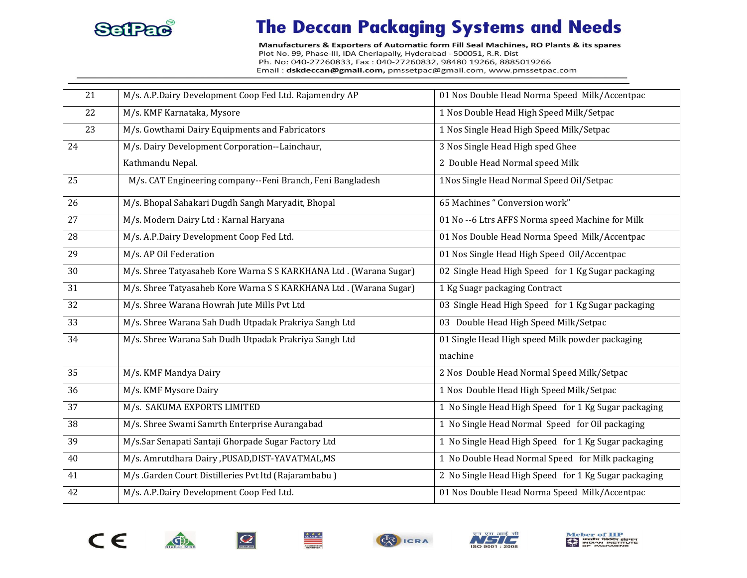

## **The Deccan Packaging Systems and Needs**

Manufacturers & Exporters of Automatic form Fill Seal Machines, RO Plants & its spares Plot No. 99, Phase-III, IDA Cherlapally, Hyderabad - 500051, R.R. Dist Ph. No: 040-27260833, Fax: 040-27260832, 98480 19266, 8885019266 Email: dskdeccan@gmail.com, pmssetpac@gmail.com, www.pmssetpac.com

| 21              | M/s. A.P.Dairy Development Coop Fed Ltd. Rajamendry AP            | 01 Nos Double Head Norma Speed Milk/Accentpac        |
|-----------------|-------------------------------------------------------------------|------------------------------------------------------|
| 22              | M/s. KMF Karnataka, Mysore                                        | 1 Nos Double Head High Speed Milk/Setpac             |
| 23              | M/s. Gowthami Dairy Equipments and Fabricators                    | 1 Nos Single Head High Speed Milk/Setpac             |
| 24              | M/s. Dairy Development Corporation--Lainchaur,                    | 3 Nos Single Head High sped Ghee                     |
|                 | Kathmandu Nepal.                                                  | 2 Double Head Normal speed Milk                      |
| 25              | M/s. CAT Engineering company--Feni Branch, Feni Bangladesh        | 1Nos Single Head Normal Speed Oil/Setpac             |
| 26              | M/s. Bhopal Sahakari Dugdh Sangh Maryadit, Bhopal                 | 65 Machines "Conversion work"                        |
| $\overline{27}$ | M/s. Modern Dairy Ltd : Karnal Haryana                            | 01 No -- 6 Ltrs AFFS Norma speed Machine for Milk    |
| 28              | M/s. A.P.Dairy Development Coop Fed Ltd.                          | 01 Nos Double Head Norma Speed Milk/Accentpac        |
| 29              | M/s. AP Oil Federation                                            | 01 Nos Single Head High Speed Oil/Accentpac          |
| 30              | M/s. Shree Tatyasaheb Kore Warna S S KARKHANA Ltd. (Warana Sugar) | 02 Single Head High Speed for 1 Kg Sugar packaging   |
| 31              | M/s. Shree Tatyasaheb Kore Warna S S KARKHANA Ltd. (Warana Sugar) | 1 Kg Suagr packaging Contract                        |
| 32              | M/s. Shree Warana Howrah Jute Mills Pvt Ltd                       | 03 Single Head High Speed for 1 Kg Sugar packaging   |
| 33              | M/s. Shree Warana Sah Dudh Utpadak Prakriya Sangh Ltd             | 03 Double Head High Speed Milk/Setpac                |
| 34              | M/s. Shree Warana Sah Dudh Utpadak Prakriya Sangh Ltd             | 01 Single Head High speed Milk powder packaging      |
|                 |                                                                   | machine                                              |
| 35              | M/s. KMF Mandya Dairy                                             | 2 Nos Double Head Normal Speed Milk/Setpac           |
| 36              | M/s. KMF Mysore Dairy                                             | 1 Nos Double Head High Speed Milk/Setpac             |
| 37              | M/s. SAKUMA EXPORTS LIMITED                                       | 1 No Single Head High Speed for 1 Kg Sugar packaging |
| 38              | M/s. Shree Swami Samrth Enterprise Aurangabad                     | 1 No Single Head Normal Speed for Oil packaging      |
| 39              | M/s.Sar Senapati Santaji Ghorpade Sugar Factory Ltd               | 1 No Single Head High Speed for 1 Kg Sugar packaging |
| 40              | M/s. Amrutdhara Dairy , PUSAD, DIST-YAVATMAL, MS                  | 1 No Double Head Normal Speed for Milk packaging     |
| 41              | M/s .Garden Court Distilleries Pvt ltd (Rajarambabu)              | 2 No Single Head High Speed for 1 Kg Sugar packaging |
| 42              | M/s. A.P.Dairy Development Coop Fed Ltd.                          | 01 Nos Double Head Norma Speed Milk/Accentpac        |





 $\mathbb{G}$